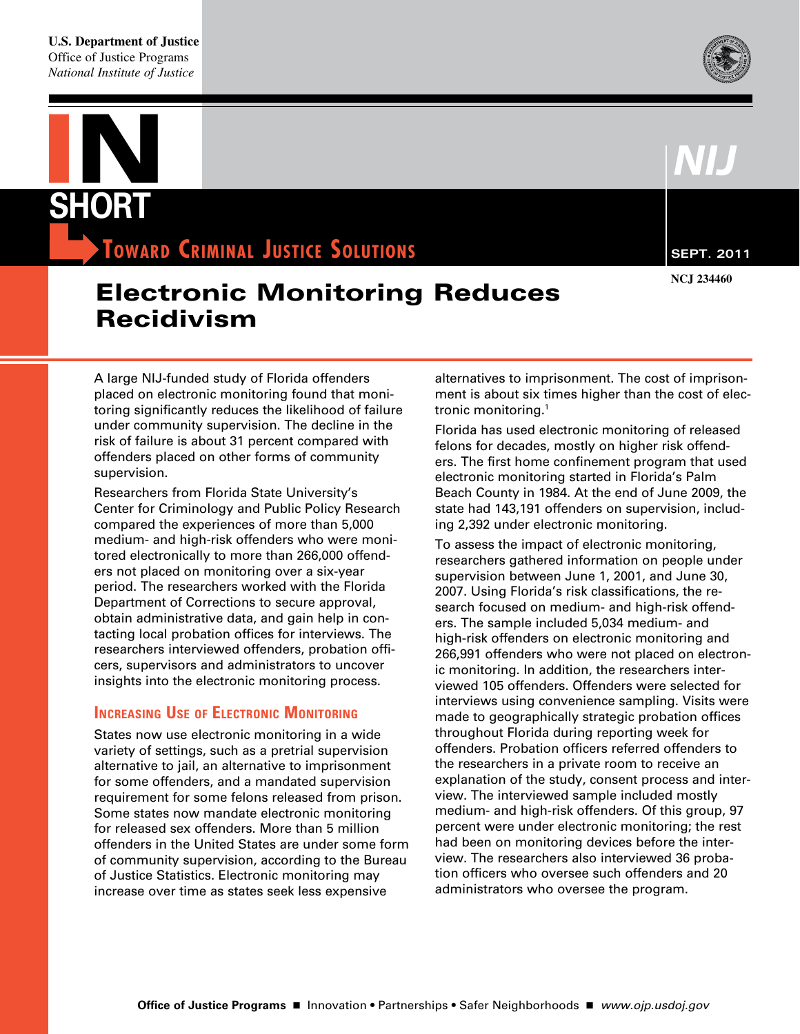

# **IN short**

**TOWARD CRIMINAL JUSTICE SOLUTIONS SEPT. 2011** 

## Electronic Monitoring Reduces Recidivism

 A large NIJ-funded study of Florida offenders placed on electronic monitoring found that moni- toring significantly reduces the likelihood of failure under community supervision. The decline in the risk of failure is about 31 percent compared with offenders placed on other forms of community supervision.

 Researchers from Florida State University's Center for Criminology and Public Policy Research compared the experiences of more than 5,000 medium- and high-risk offenders who were moni- tored electronically to more than 266,000 offend- ers not placed on monitoring over a six-year period. The researchers worked with the Florida Department of Corrections to secure approval, obtain administrative data, and gain help in con- tacting local probation offices for interviews. The researchers interviewed offenders, probation offi- cers, supervisors and administrators to uncover insights into the electronic monitoring process.

#### **INCREASING USE OF ELECTRONIC MONITORING**

 States now use electronic monitoring in a wide variety of settings, such as a pretrial supervision alternative to jail, an alternative to imprisonment for some offenders, and a mandated supervision requirement for some felons released from prison. Some states now mandate electronic monitoring for released sex offenders. More than 5 million offenders in the United States are under some form of community supervision, according to the Bureau of Justice Statistics. Electronic monitoring may increase over time as states seek less expensive

 alternatives to imprisonment. The cost of imprison- ment is about six times higher than the cost of electronic monitoring.1

 Florida has used electronic monitoring of released felons for decades, mostly on higher risk offend- ers. The first home confinement program that used electronic monitoring started in Florida's Palm Beach County in 1984. At the end of June 2009, the state had 143,191 offenders on supervision, includ-ing 2,392 under electronic monitoring.

 To assess the impact of electronic monitoring, researchers gathered information on people under supervision between June 1, 2001, and June 30, 2007. Using Florida's risk classifications, the re- search focused on medium- and high-risk offend- ers. The sample included 5,034 medium- and high-risk offenders on electronic monitoring and 266,991 offenders who were not placed on electron- ic monitoring. In addition, the researchers inter- viewed 105 offenders. Offenders were selected for interviews using convenience sampling. Visits were made to geographically strategic probation offices throughout Florida during reporting week for offenders. Probation officers referred offenders to the researchers in a private room to receive an explanation of the study, consent process and inter- view. The interviewed sample included mostly medium- and high-risk offenders. Of this group, 97 percent were under electronic monitoring; the rest had been on monitoring devices before the inter- view. The researchers also interviewed 36 proba- tion officers who oversee such offenders and 20 administrators who oversee the program.

**NCJ 234460**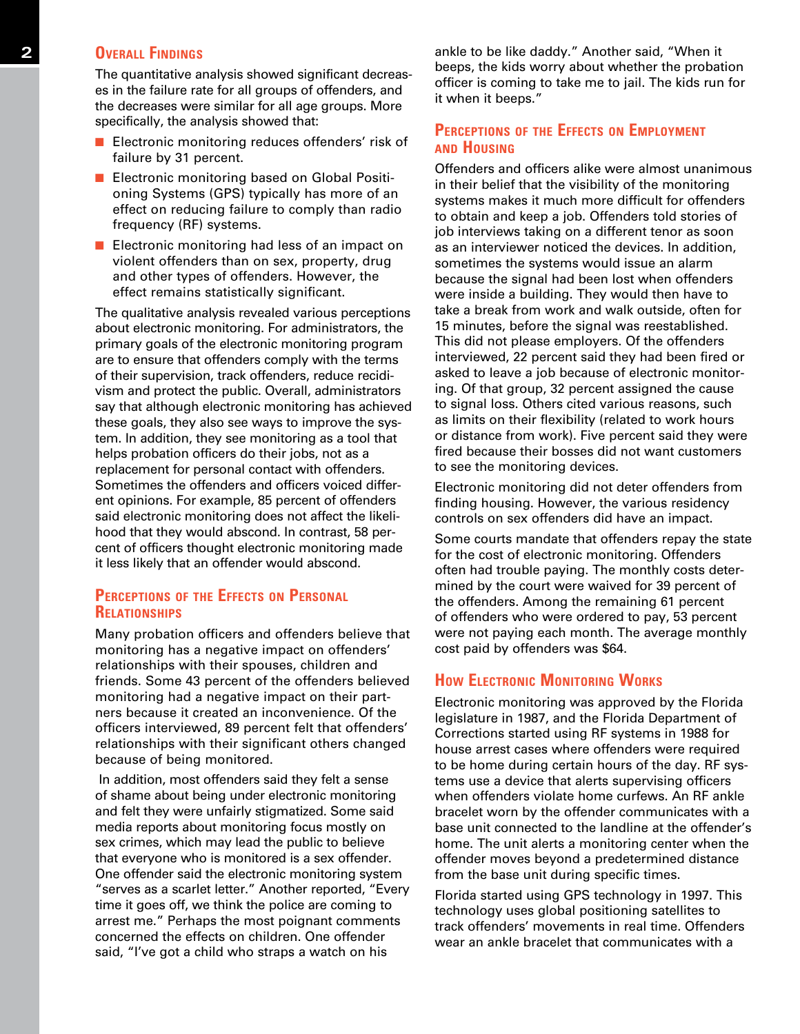#### **2 OVERALL FINDINGS**

 The quantitative analysis showed significant decreas- es in the failure rate for all groups of offenders, and the decreases were similar for all age groups. More specifically, the analysis showed that:

- $\blacksquare$  Electronic monitoring reduces offenders' risk of failure by 31 percent.
- $\blacksquare$  Electronic monitoring based on Global Positioning Systems (GPS) typically has more of an effect on reducing failure to comply than radio frequency (RF) systems.
- $\blacksquare$  Electronic monitoring had less of an impact on violent offenders than on sex, property, drug and other types of offenders. However, the effect remains statistically significant.

 The qualitative analysis revealed various perceptions about electronic monitoring. For administrators, the primary goals of the electronic monitoring program are to ensure that offenders comply with the terms of their supervision, track offenders, reduce recidi- vism and protect the public. Overall, administrators say that although electronic monitoring has achieved these goals, they also see ways to improve the sys- tem. In addition, they see monitoring as a tool that helps probation officers do their jobs, not as a replacement for personal contact with offenders. Sometimes the offenders and officers voiced differ- ent opinions. For example, 85 percent of offenders said electronic monitoring does not affect the likeli- hood that they would abscond. In contrast, 58 per- cent of officers thought electronic monitoring made it less likely that an offender would abscond.

#### **PERCEPTIONS OF THE EFFECTS ON PERSONAL relatIonshIPs**

Many probation officers and offenders believe that monitoring has a negative impact on offenders' relationships with their spouses, children and friends. Some 43 percent of the offenders believed monitoring had a negative impact on their partners because it created an inconvenience. Of the officers interviewed, 89 percent felt that offenders' relationships with their significant others changed because of being monitored.

 In addition, most offenders said they felt a sense of shame about being under electronic monitoring and felt they were unfairly stigmatized. Some said media reports about monitoring focus mostly on sex crimes, which may lead the public to believe that everyone who is monitored is a sex offender. One offender said the electronic monitoring system "serves as a scarlet letter." Another reported, "Every time it goes off, we think the police are coming to arrest me." Perhaps the most poignant comments concerned the effects on children. One offender said, "I've got a child who straps a watch on his

 ankle to be like daddy." Another said, "When it beeps, the kids worry about whether the probation officer is coming to take me to jail. The kids run for it when it beeps."

#### **PERCEPTIONS OF THE EFFECTS ON EMPLOYMENT and hoUsIng**

 Offenders and officers alike were almost unanimous in their belief that the visibility of the monitoring systems makes it much more difficult for offenders to obtain and keep a job. Offenders told stories of job interviews taking on a different tenor as soon as an interviewer noticed the devices. In addition, sometimes the systems would issue an alarm because the signal had been lost when offenders were inside a building. They would then have to take a break from work and walk outside, often for 15 minutes, before the signal was reestablished. This did not please employers. Of the offenders interviewed, 22 percent said they had been fired or asked to leave a job because of electronic monitor- ing. Of that group, 32 percent assigned the cause to signal loss. Others cited various reasons, such as limits on their flexibility (related to work hours or distance from work). Five percent said they were fired because their bosses did not want customers to see the monitoring devices.

 Electronic monitoring did not deter offenders from finding housing. However, the various residency controls on sex offenders did have an impact.

 Some courts mandate that offenders repay the state for the cost of electronic monitoring. Offenders often had trouble paying. The monthly costs deter- mined by the court were waived for 39 percent of the offenders. Among the remaining 61 percent of offenders who were ordered to pay, 53 percent were not paying each month. The average monthly cost paid by offenders was \$64.

#### **How ELECTRONIC MONITORING WORKS**

 Electronic monitoring was approved by the Florida legislature in 1987, and the Florida Department of Corrections started using RF systems in 1988 for house arrest cases where offenders were required to be home during certain hours of the day. RF sys- tems use a device that alerts supervising officers when offenders violate home curfews. An RF ankle bracelet worn by the offender communicates with a base unit connected to the landline at the offender's home. The unit alerts a monitoring center when the offender moves beyond a predetermined distance from the base unit during specific times.

 Florida started using GPS technology in 1997. This technology uses global positioning satellites to track offenders' movements in real time. Offenders wear an ankle bracelet that communicates with a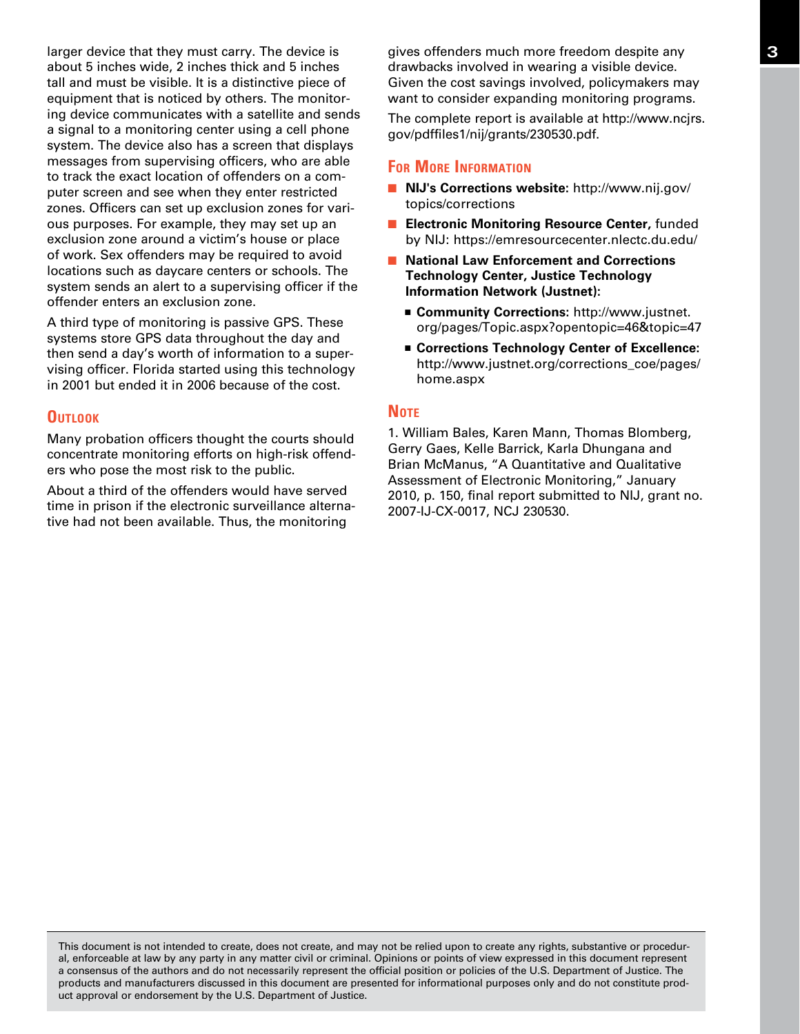larger device that they must carry. The device is about 5 inches wide, 2 inches thick and 5 inches tall and must be visible. It is a distinctive piece of equipment that is noticed by others. The monitor- ing device communicates with a satellite and sends a signal to a monitoring center using a cell phone system. The device also has a screen that displays messages from supervising officers, who are able to track the exact location of offenders on a com- puter screen and see when they enter restricted zones. Officers can set up exclusion zones for vari- ous purposes. For example, they may set up an exclusion zone around a victim's house or place of work. Sex offenders may be required to avoid locations such as daycare centers or schools. The system sends an alert to a supervising officer if the offender enters an exclusion zone. larger device that they must carry. The device is **3** by gives offenders much more freedom despite any

 A third type of monitoring is passive GPS. These systems store GPS data throughout the day and then send a day's worth of information to a super- vising officer. Florida started using this technology in 2001 but ended it in 2006 because of the cost.

#### **OUTLOOK**

 Many probation officers thought the courts should concentrate monitoring efforts on high-risk offend-ers who pose the most risk to the public.

 About a third of the offenders would have served time in prison if the electronic surveillance alterna-tive had not been available. Thus, the monitoring

 drawbacks involved in wearing a visible device. Given the cost savings involved, policymakers may want to consider expanding monitoring programs.

 The complete report is available at http://www.ncjrs. [gov/pdffiles1/nij/grants/230530.pdf.](http://www.ncjrs.gov/pdffiles1/nij/grants/230530.pdf) 

#### **FOR MORE INFORMATION**

- **n NIJ's Corrections website:** http://www.nij.gov/ [topics/corrections](http://www.nij.gov/topics/corrections)
- **Electronic Monitoring Resource Center, funded** by NIJ: https://emresourcecenter.nlectc.du.edu/
- **National Law Enforcement and Corrections Technology Center, Justice Technology Information Network (Justnet):** 
	- Community Corrections: http://www.justnet. [org/pages/Topic.aspx?opentopic=46&topic=47](http://www.justnet.org/pages/Topics.aspx?opentopic=46&topic=47)
	- Corrections Technology Center of Excellence: http://www.justnet.org/corrections\_coe/pages/ [home.aspx](http://www.justnet.org/corrections_coe/pages/home.aspx)

#### **Note**

 1. William Bales, Karen Mann, Thomas Blomberg, Gerry Gaes, Kelle Barrick, Karla Dhungana and Brian McManus, "A Quantitative and Qualitative Assessment of Electronic Monitoring," January 2010, p. 150, final report submitted to NIJ, grant no. 2007-IJ-CX-0017, NCJ 230530.

 This document is not intended to create, does not create, and may not be relied upon to create any rights, substantive or procedur- al, enforceable at law by any party in any matter civil or criminal. Opinions or points of view expressed in this document represent a consensus of the authors and do not necessarily represent the official position or policies of the U.S. Department of Justice. The products and manufacturers discussed in this document are presented for informational purposes only and do not constitute prod-uct approval or endorsement by the U.S. Department of Justice.